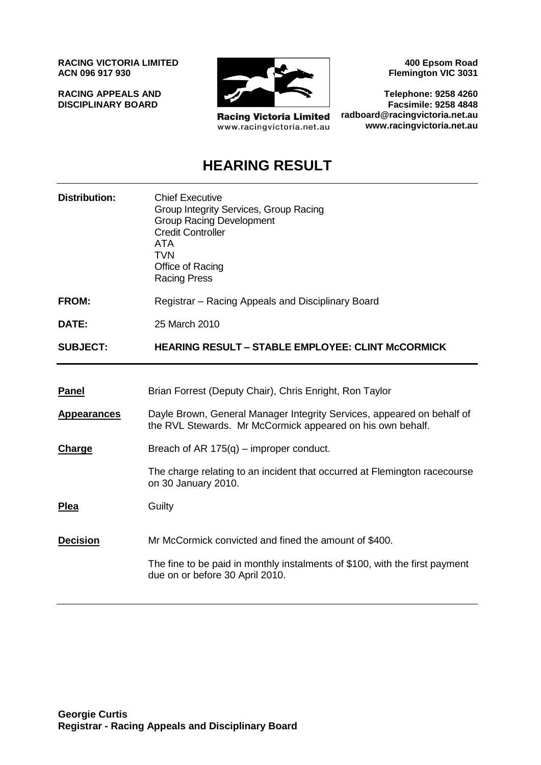**RACING VICTORIA LIMITED ACN 096 917 930**

**RACING APPEALS AND DISCIPLINARY BOARD**



**Racing Victoria Limited** www.racingvictoria.net.au

**400 Epsom Road Flemington VIC 3031**

**Telephone: 9258 4260 Facsimile: 9258 4848 radboard@racingvictoria.net.au www.racingvictoria.net.au**

## **HEARING RESULT**

| <b>Distribution:</b> | <b>Chief Executive</b><br>Group Integrity Services, Group Racing<br><b>Group Racing Development</b><br><b>Credit Controller</b><br><b>ATA</b><br><b>TVN</b><br>Office of Racing<br><b>Racing Press</b> |
|----------------------|--------------------------------------------------------------------------------------------------------------------------------------------------------------------------------------------------------|
| <b>FROM:</b>         | Registrar – Racing Appeals and Disciplinary Board                                                                                                                                                      |
| DATE:                | 25 March 2010                                                                                                                                                                                          |
| <b>SUBJECT:</b>      | <b>HEARING RESULT - STABLE EMPLOYEE: CLINT MCCORMICK</b>                                                                                                                                               |
|                      |                                                                                                                                                                                                        |
| <b>Panel</b>         | Brian Forrest (Deputy Chair), Chris Enright, Ron Taylor                                                                                                                                                |
| <b>Appearances</b>   | Dayle Brown, General Manager Integrity Services, appeared on behalf of<br>the RVL Stewards. Mr McCormick appeared on his own behalf.                                                                   |
| Charge               | Breach of AR $175(q)$ – improper conduct.                                                                                                                                                              |
|                      | The charge relating to an incident that occurred at Flemington racecourse<br>on 30 January 2010.                                                                                                       |
| <b>Plea</b>          | Guilty                                                                                                                                                                                                 |
| <b>Decision</b>      | Mr McCormick convicted and fined the amount of \$400.                                                                                                                                                  |
|                      | The fine to be paid in monthly instalments of \$100, with the first payment<br>due on or before 30 April 2010.                                                                                         |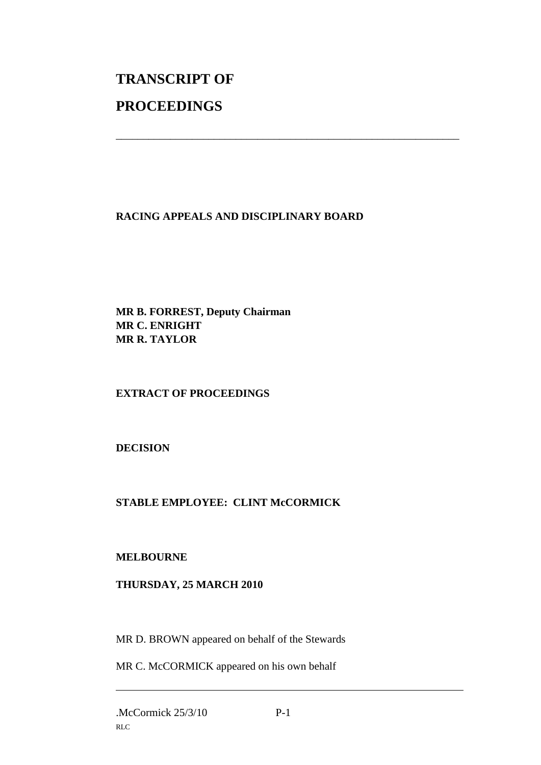# **TRANSCRIPT OF PROCEEDINGS**

#### **RACING APPEALS AND DISCIPLINARY BOARD**

\_\_\_\_\_\_\_\_\_\_\_\_\_\_\_\_\_\_\_\_\_\_\_\_\_\_\_\_\_\_\_\_\_\_\_\_\_\_\_\_\_\_\_\_\_\_\_\_\_\_\_\_\_\_\_\_\_\_\_\_\_\_\_

**MR B. FORREST, Deputy Chairman MR C. ENRIGHT MR R. TAYLOR**

### **EXTRACT OF PROCEEDINGS**

**DECISION**

### **STABLE EMPLOYEE: CLINT McCORMICK**

#### **MELBOURNE**

#### **THURSDAY, 25 MARCH 2010**

MR D. BROWN appeared on behalf of the Stewards

MR C. McCORMICK appeared on his own behalf